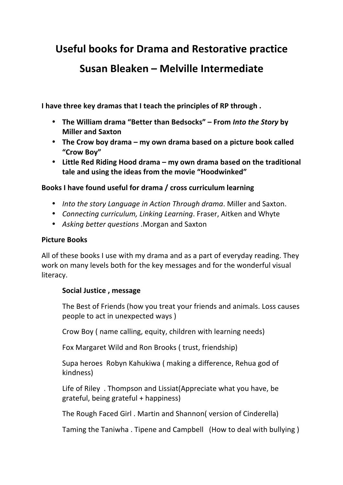**Useful'books'for'Drama'and'Restorative'practice**

# **Susan'Bleaken – Melville'Intermediate**

I have three key dramas that I teach the principles of RP through.

- The William drama "Better than Bedsocks" From Into the Story by **Miller'and'Saxton**
- The Crow boy drama my own drama based on a picture book called **"Crow'Boy"**
- Little Red Riding Hood drama my own drama based on the traditional **tale'and'using'the'ideas'from'the'movie'"Hoodwinked"**

## Books I have found useful for drama / cross curriculum learning

- *Into the story Language in Action Through drama*. Miller and Saxton.
- *Connecting curriculum, Linking Learning*. Fraser, Aitken and Whyte
- Asking better questions .Morgan and Saxton

## **Picture Books**

All of these books I use with my drama and as a part of everyday reading. They work on many levels both for the key messages and for the wonderful visual literacy.

## Social Justice, message

The Best of Friends (how you treat your friends and animals. Loss causes people to act in unexpected ways)

Crow Boy (name calling, equity, children with learning needs)

Fox Margaret Wild and Ron Brooks (trust, friendship)

Supa heroes Robyn Kahukiwa (making a difference, Rehua god of kindness)

Life of Riley. Thompson and Lissiat(Appreciate what you have, be grateful, being grateful + happiness)

The Rough Faced Girl. Martin and Shannon( version of Cinderella)

Taming the Taniwha. Tipene and Campbell (How to deal with bullying)